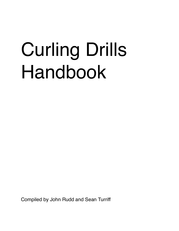# Curling Drills Handbook

Compiled by John Rudd and Sean Turriff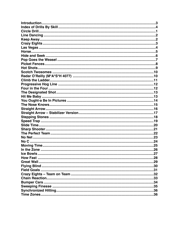| Introduction. | .3 |
|---------------|----|
|               |    |
|               |    |
|               |    |
|               |    |
|               |    |
|               |    |
|               |    |
|               |    |
|               |    |
|               |    |
|               |    |
|               |    |
|               |    |
|               |    |
|               |    |
|               |    |
|               |    |
|               |    |
|               |    |
|               |    |
|               |    |
|               |    |
|               |    |
|               |    |
|               |    |
|               |    |
|               |    |
|               |    |
|               |    |
|               |    |
|               |    |
|               |    |
|               |    |
|               |    |
|               |    |
|               |    |
|               |    |
|               |    |
|               |    |
|               |    |
|               |    |
|               |    |
|               |    |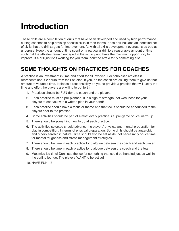### <span id="page-2-0"></span>**Introduction**

These drills are a compilation of drills that have been developed and used by high performance curling coaches to help develop specific skills in their teams. Each drill includes an identified set of skills that the drill targets for improvement. As with all skills development overuse is as bad as underuse. Keep the amount of time spent on a particular drill to a reasonable amount of time such that the athletes remain engaged in the activity and have the maximum opportunity to improve. If a drill just isn't working for you team, don't be afraid to try something else.

### **SOME THOUGHTS ON PRACTICES FOR COACHES**

A practice is an investment in time and effort for all involved! For scholastic athletes it represents about 2 hours from their studies. If you, as the coach are asking them to give up that amount of valuable time, it places a responsibility on you to provide a practice that will justify the time and effort the players are willing to put forth.

- 1. Practices should be FUN (for the coach and the players)!
- 2. Each practice must be pre-planned. It is a sign of strength, not weakness for your players to see you with a written plan in your hand!
- 3. Each practice should have a focus or theme and that focus should be announced to the players prior to the practice.
- 4. Some activities should be part of almost every practice. i.e. pre-game on-ice warm-up
- 5. There should be something new to do at each practice.
- 6. The activities selected should advance the players' physical and mental preparation for play in competition. In terms of physical preparation. Some drills should be anaerobic and others aerobic in nature. Time should also be set aside, not necessarily on-ice time, for mental toughness and stress management strategies.
- 7. There should be time in each practice for dialogue between the coach and each player.
- 8. There should be time in each practice for dialogue between the coach and the team.
- 9. Maximize ice time! Don't use the ice for something that could be handled just as well in the curling lounge. The players WANT to be active!
- 10. HAVE FUN!!!!!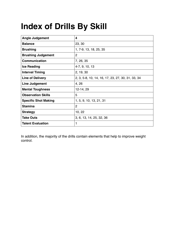# <span id="page-3-0"></span>**Index of Drills By Skill**

| <b>Angle Judgement</b>      | 4                                                 |
|-----------------------------|---------------------------------------------------|
| <b>Balance</b>              | 23, 30                                            |
| <b>Brushing</b>             | 1, 7-9, 13, 18, 25, 35                            |
| <b>Brushing Judgement</b>   | 2                                                 |
| <b>Communication</b>        | 7, 26, 35                                         |
| <b>Ice Reading</b>          | 4-7, 9, 10, 13                                    |
| <b>Interval Timing</b>      | 2, 19, 30                                         |
| <b>Line of Delivery</b>     | 2, 3, 5-8, 10, 14, 16, 17, 23, 27, 30, 31, 33, 34 |
| Line Judgement              | 4, 26                                             |
| <b>Mental Toughness</b>     | 12-14, 29                                         |
| <b>Observation Skills</b>   | 5                                                 |
| <b>Specific Shot Making</b> | 1, 5, 9, 10, 13, 21, 31                           |
| <b>Stamina</b>              | 2                                                 |
| <b>Strategy</b>             | 10, 22                                            |
| <b>Take Outs</b>            | 3, 6, 13, 14, 25, 32, 36                          |
| <b>Talent Evaluation</b>    | 1                                                 |

In addition, the majority of the drills contain elements that help to improve weight control.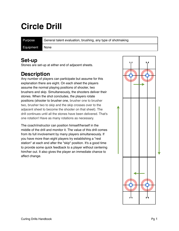# <span id="page-4-0"></span>**Circle Drill**

Purpose General talent evaluation, brushing, any type of shotmaking Equipment None

#### **Set-up**

Stones are set-up at either end of adjacent sheets.

#### **Description**

Any number of players can participate but assume for this explanation there are eight. On each sheet the players assume the normal playing positions of shooter, two brushers and skip. Simultaneously, the shooters deliver their stones. When the shot concludes, the players rotate positions (shooter to brusher one, brusher one to brusher two, brusher two to skip and the skip crosses over to the adjacent sheet to become the shooter on that sheet). The drill continues until all the stones have been delivered. That's one rotation! Have as many rotations as necessary.

The coach/instructor can position himself/herself in the middle of the drill and monitor it. The value of this drill comes from its full involvement by many players simultaneously. If you have more than eight players try establishing a "rest station" at each end after the "skip" position. It's a good time to provide some quick feedback to a player without centering him/her out. It also gives the player an immediate chance to affect change.

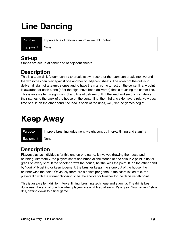### <span id="page-5-0"></span>**Line Dancing**

| Purpose   | Improve line of delivery, improve weight control |
|-----------|--------------------------------------------------|
| Equipment | l Nonel                                          |

#### **Set-up**

Stones are set-up at either end of adjacent sheets.

#### **Description**

This is a team drill. A team can try to break its own record or the team can break into two and the twosomes can play against one another on adjacent sheets. The object of the drill is to deliver all eight of a team's stones and to have them all come to rest on the center line. A point is awarded for each stone (after the eight have been delivered) that is touching the center line. This is an excellent weight control and line of delivery drill. If the lead and second can deliver their stones to the back of the house on the center line, the third and skip have a relatively easy time of it. If, on the other hand, the lead is short of the rings, well, "let the games begin"!

### <span id="page-5-1"></span>**Keep Away**

| Purpose   | Improve brushing judgement, weight control, interval timing and stamina |
|-----------|-------------------------------------------------------------------------|
| Equipment | None                                                                    |

### **Description**

Players play as individuals for this one on one game. It involves drawing the house and brushing. Alternately, the players shoot and brush all the stones of one colour. A point is up for grabs on every shot. If the shooter draws the house, he/she wins the point. If, on the other hand, by "gorilla" brushing or keen judgment, the brusher keeps the stone out of the house, the brusher wins the point. Obviously there are 8 points per game. If the score is tied at 8, the players flip with the winner choosing to be the shooter or brusher for the decisive 9th point.

This is an excellent drill for interval timing, brushing technique and stamina. The drill is best done near the end of practice when players are a bit tired already. It's a great "tournament" style drill, getting down to a final game.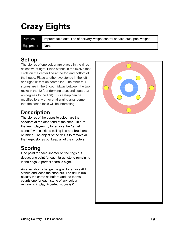# <span id="page-6-0"></span>**Crazy Eights**

Purpose Improve take outs, line of delivery, weight control on take outs, peel weight

Equipment None

#### **Set-up**

The stones of one colour are placed in the rings as shown at right. Place stones in the twelve foot circle on the center line at the top and bottom of the house. Place another two stones in the left and right 12 foot on center line. The other four stones are in the 8 foot midway between the two rocks in the 12 foot (forming a second square at 45 degrees to the first). This set-up can be modified to any other challenging arrangement that the coach feels will be interesting.

### **Description**

The stones of the opposite colour are the shooters at the other end of the sheet. In turn, the team players try to remove the "target stones" with a skip to calling line and brushers brushing. The object of the drill is to remove all the target stones but keep all of the shooters.

### **Scoring**

One point for each shooter on the rings but deduct one point for each target stone remaining in the rings. A perfect score is eight.

As a variation, change the goal to remove ALL stones and loose the shooters. The drill is run exactly the same as before and the teams' counts one for each stone of any colour remaining in play. A perfect score is 0.

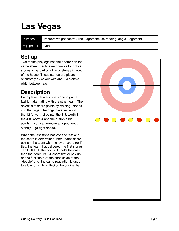### <span id="page-7-0"></span>**Las Vegas**

Purpose Improve weight control, line judgement, ice reading, angle judgement

Equipment None

#### **Set-up**

Two teams play against one another on the same sheet. Each team donates four of its stones to be part of a line of stones in front of the house. These stones are placed alternately by colour with about a stone's width between each.

### **Description**

Each player delivers one stone in game fashion alternating with the other team. The object is to score points by "raising" stones into the rings. The rings have value with the 12 ft. worth 2 points, the 8 ft. worth 3, the 4 ft. worth 4 and the button a big 5 points. If you can remove an opponent's stone(s), go right ahead.

When the last stone has cone to rest and the score is determined (both teams score points), the team with the lower score (or if tied, the team that delivered the first stone) can DOUBLE the points. If that's the case, then that team MUST shoot first or pay up on the first "bet". At the conclusion of the "double" end, the same regulation is used to allow for a TRIPLING of the original bet.

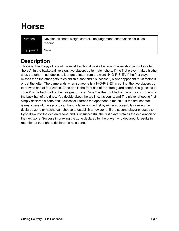### <span id="page-8-0"></span>**Horse**

| Purpose   | Develop all shots, weight control, line judgement, observation skills, ice<br>reading |
|-----------|---------------------------------------------------------------------------------------|
| Equipment | None                                                                                  |

#### **Description**

This is a direct copy of one of the most traditional basketball one-on-one shooting drills called "horse". In the basketball version, two players try to match shots. If the first player makes his/her shot, the other must duplicate it or get a letter from the word "H-O-R-S-E". If the first player misses then the other gets to establish a shot and if successful, his/her opponent must match it or get the letter. The game ends when someone is a H-O-R-S-E! In curling, the two players try to draw to one of four zones. Zone one is the front half of the "free guard zone". You guessed it, zone 2 is the back half of the free guard zone. Zone 3 is the front half of the rings and zone 4 is the back half of the rings. You decide about the tee line, it's your team! The player shooting first simply declares a zone and if successful forces the opponent to match it. If the first shooter is unsuccessful, the second can hang a letter on the first by either successfully drawing the declared zone or he/she can choose to establish a new zone. If the second player chooses to try to draw into the declared zone and is unsuccessful, the first player retains the declaration of the next zone. Success in drawing the zone declared by the player who declared it, results in retention of the right to declare the next zone.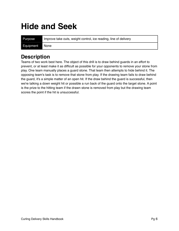### <span id="page-9-0"></span>**Hide and Seek**

Purpose Improve take outs, weight control, ice reading, line of delivery Equipment None

#### **Description**

Teams of two work best here. The object of this drill is to draw behind guards in an effort to prevent, or at least make it as difficult as possible for your opponents to remove your stone from play. One team manually places a guard stone. That team then attempts to hide behind it. The opposing team's task is to remove that stone from play. If the drawing team fails to draw behind the guard, it's a simple matter of an open hit. If the draw behind the guard is successful, then we're talking a down weight hit or possible a run back of the guard onto the target stone. A point is the prize to the hitting team if the drawn stone is removed from play but the drawing team scores the point if the hit is unsuccessful.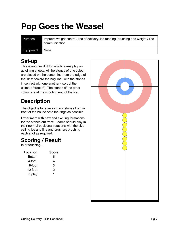# <span id="page-10-0"></span>**Pop Goes the Weasel**

Purpose Improve weight control, line of delivery, ice reading, brushing and weight / line communication

Equipment None

### **Set-up**

This is another drill for which teams play on adjoining sheets. All the stones of one colour are placed on the center line from the edge of the 12 ft. toward the hog line (with the stones in contact with one another - sort of the ultimate "freeze"). The stones of the other colour are at the shooting end of the ice.

### **Description**

The object is to raise as many stones from in front of the house onto the rings as possible.

Experiment with new and exciting formations for the stones out front! Teams should play in their normal positional rotations with the skip calling ice and line and brushers brushing each shot as required.

### **Scoring / Result**

In or touching…

| Location | <b>Score</b> |
|----------|--------------|
| Button   | 5            |
| 4-foot   | 4            |
| 8-foot   | 3            |
| 12-foot  | 2            |
| In play  | 1            |

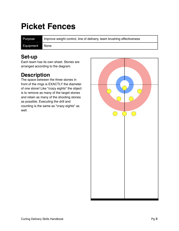### <span id="page-11-0"></span>**Picket Fences**

Purpose Improve weight control, line of delivery, team brushing effectiveness

Equipment None

#### **Set-up**

Each team has its own sheet. Stones are arranged according to the diagram.

### **Description**

The space between the three stones in front of the rings is EXACTLY the diameter of one stone! Like "crazy eights" the object is to remove as many of the target stones and retain as many of the shooting stones as possible. Executing the drill and counting is the same as "crazy eights" as well

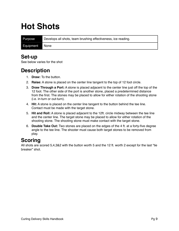### <span id="page-12-0"></span>**Hot Shots**

Purpose Develops all shots, team brushing effectiveness, ice reading.

Equipment None

#### **Set-up**

See below varies for the shot

#### **Description**

- 1. **Draw:** To the button.
- 2. **Raise:** A stone is placed on the center line tangent to the top of 12 foot circle.
- 3. **Draw Through a Port:** A stone is placed adjacent to the center line just off the top of the 12 foot. The other side of the port is another stone, placed a predetermined distance from the first. The stones may be placed to allow for either rotation of the shooting stone (i.e. in-turn or out-turn).
- 4. **Hit:** A stone is placed on the center line tangent to the button behind the tee line. Contact must be made with the target stone.
- 5. **Hit and Roll:** A stone is placed adjacent to the 12ft. circle midway between the tee line and the center line. The target stone may be placed to allow for either rotation of the shooting stone. The shooting stone must make contact with the target stone.
- 6. **Double Take Out:** Two stones are placed on the edges of the 4 ft. at a forty-five degree angle to the tee line. The shooter must cause both target stones to be removed from play.

### **Scoring**

All shots are scored 5,4,3&2 with the button worth 5 and the 12 ft. worth 2 except for the last "tie breaker" shot.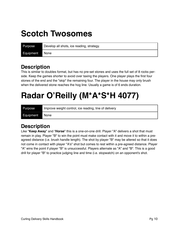### <span id="page-13-0"></span>**Scotch Twosomes**

| Purpose   | Develop all shots, ice reading, strategy. |
|-----------|-------------------------------------------|
| Equipment | ∎ None                                    |

#### **Description**

This is similar to doubles format, but has no pre-set stones and uses the full set of 8 rocks perside. Keep the games shorter to avoid over taxing the players. One player plays the first four stones of the end and the "skip" the remaining four. The player in the house may only brush when the delivered stone reaches the hog line. Usually a game is of 6 ends duration.

# <span id="page-13-1"></span>**Radar O'Reilly (M\*A\*S\*H 4077)**

| Purpose   | Improve weight control, ice reading, line of delivery |
|-----------|-------------------------------------------------------|
| Equipment | None                                                  |

#### **Description**

Like "**Keep Away**" and "**Horse**" this is a one-on-one drill. Player "A" delivers a shot that must remain in play. Player "B" to win the point must make contact with it and move it to within a preagreed distance (i.e. brush handle length). The shot by player "B" may be altered so that it does not come in contact with player "A's" shot but comes to rest within a pre-agreed distance. Player "A" wins the point if player "B" is unsuccessful. Players alternate as "A" and "B". This is a good drill for player "B" to practice judging line and time (i.e. stopwatch) on an opponent's shot.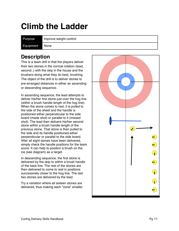### <span id="page-14-0"></span>**Climb the Ladder**

Purpose Improve weight control

Equipment None

#### **Description**

This is a team drill in that the players deliver their two stones in the normal rotation (lead, second..) with the skip in the house and the brushers doing what they do best, brushing. The object of the drill is to deliver stones to pre-arranged distances in either an ascending or descending sequence.

In ascending sequence, the lead attempts to deliver his/her first stone just over the hog line (within a brush handle length of the hog line). When the stone comes to rest, it is pulled to the side of the sheet and the handle is positioned either perpendicular to the side board (made shot) or parallel to it (missed shot). The lead then delivers his/her second stone within a brush handle length of the previous stone. That stone is then pulled to the side and its handle positioned either perpendicular or parallel to the side board. After all eight stones have been delivered, simply check the handle positions for the team score. It can help to position a brush on the ice (see diagram) as a target.

In descending sequence, the first stone is delivered by the skip to within a brush handle of the back line. The rest of the stones are then delivered to come to rest in positions successively closer to the hog line. The last two stones are delivered by the lead.

Try a variation where all sixteen stones are delivered, thus making each "zone" smaller.

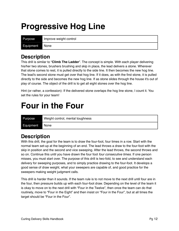### <span id="page-15-0"></span>**Progressive Hog Line**

Purpose Improve weight control

Equipment None

### **Description**

This drill is similar to "**Climb The Ladder**". The concept is simple. With each player delivering his/her two stones, brushers brushing and skip in place, the lead delivers a stone. Wherever that stone comes to rest, it is pulled directly to the side line. It then becomes the new hog line. The lead's second stone must get over that hog line. If it does, as with the first stone, it is pulled directly to the side and becomes the new hog line. If as stone slides through the house it's out of play of course. The object of the drill is to get all eight stones over the hog line.

Hint (or rather, a confession): If the delivered stone overlaps the hog line stone, I count it. You set the rules for your team!

### <span id="page-15-1"></span>**Four in the Four**

| Purpose        | Weight control, mental toughness |
|----------------|----------------------------------|
| Equipment None |                                  |

### **Description**

With this drill, the goal for the team is to draw the four-foot, four times in a row. Start with the normal team set-up at the beginning of an end. The lead throws a draw to the four-foot with the skip in position and the second and vice sweeping. After the lead throws, the second throws and so on. Continue this until you have drawn the four foot *four consecutive times*. If one person misses, you must start over. The purpose of this drill is two-fold, to see and understand each delivery for sweeping purposes, and to simply practice drawing to the four-foot. It develops a good sense of draw weight, what your sweepers are capable of, and good practice for the sweepers making weight judgment calls.

This drill is harder than it sounds. If the team rule is to not move to the next drill until four are in the four, then pressure builds up with each four-foot draw. Depending on the level of the team it is okay to move on to the next drill with "Four in the Twelve", then once the team can do that routinely, move to "Four in the Eight" and then insist on "Four in the Four", but at all times the target should be "Four in the Four".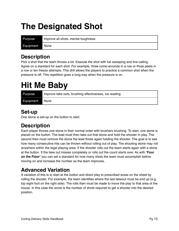### <span id="page-16-0"></span>**The Designated Shot**

| Purpose   | Improve all shots, mental toughness |
|-----------|-------------------------------------|
| Equipment | None                                |

#### **Description**

Pick a shot that the team throws a lot. Execute the shot with full sweeping and line calling. Agree on a standard for each shot. For example, three come-arounds in a row or three peels in a row or ten freeze attempts. This drill allows the players to practice a common shot when the pressure is off. This repetition goes a long way when the pressure is on.

### <span id="page-16-1"></span>**Hit Me Baby**

| Purpose        | Improve take outs, brushing effectiveness, ice reading |
|----------------|--------------------------------------------------------|
| Equipment None |                                                        |

### **Set-up**

One stone is set-up on the button to start.

### **Description**

Each player throws one stone in their normal order with brushers brushing. To start, one stone is placed on the button. The lead must then take out that stone and hold the shooter in play. The second then must remove the stone the lead threw again holding the shooter. The goal is to see how many consecutive hits can be thrown without rolling out of play. The shooting stone may roll anywhere within the legal playing area. If the shooter rolls out the team starts again with a stone at the button. If the take out misses completely or rolls out the count starts over. As with "**Four on the Floor**" you can set a standard for how many shots the team must accomplish before moving on and increase the number as the team improves.

### **Advanced Variation**

A variation of this is to start at the button and direct play to prescribed areas on the sheet by rolling the shooter. For example, the team identifies where the last takeout must be end up (e.g. top eight foot on the right side). The rolls then must be made to move the play to that area of the house. In this case the score is the number of shots required to get a shooter into the desired position.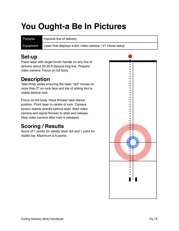# <span id="page-17-0"></span>**You Ought-a Be In Pictures**

Purpose Improve line of delivery

Equipment Laser that displays a dot; video camera / V1 Home setup

### **Set-up**

Place laser with target brush handle on any line of delivery about 20-30 ft beyond hog line. Prepare video camera. Focus on full body

### **Description**

Take three slides ensuring the laser "dot" moves no more than 2" on rock face and toe of sliding foot is visible behind rock.

Focus on full body. Have thrower take stance position. Point laser to centre of rock. Camera person stands directly behind laser. Start video camera and signal thrower to slide and release. Stop video camera after rock is released.

### **Scoring / Results**

Score of 1 points for steady laser dot and 1 point for visible toe. Maximum is 6 points.

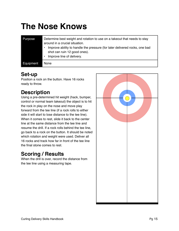# <span id="page-18-0"></span>**The Nose Knows**

| Purpose   | Determine best weight and rotation to use on a takeout that needs to stay<br>around in a crucial situation.<br>Improve ability to handle the pressure (for later delivered rocks, one bad<br>shot can ruin 12 good ones).<br>Improve line of delivery. |
|-----------|--------------------------------------------------------------------------------------------------------------------------------------------------------------------------------------------------------------------------------------------------------|
| Equipment | None                                                                                                                                                                                                                                                   |

#### **Set-up**

Position a rock on the button. Have 16 rocks ready to throw.

### **Description**

Using a pre-determined hit weight (hack, bumper, control or normal team takeout) the object is to hit the rock in play on the nose and move play forward from the tee line (if a rock rolls to either side it will start to lose distance to the tee line). When it comes to rest, slide it back to the center line at the same distance from the tee line and resume the drill. If a rock rolls behind the tee line, go back to a rock on the button. It should be noted which rotation and weight were used. Deliver all 16 rocks and track how far in front of the tee line the final stone comes to rest.

### **Scoring / Results**

When the drill is over, record the distance from the tee line using a measuring tape.

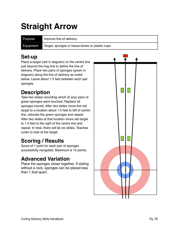### <span id="page-19-0"></span>**Straight Arrow**

Purpose Improve line of delivery.

Equipment Target, sponges or tissue boxes or plastic cups

### **Set-up**

Place a target (red in diagram) on the centre line just beyond the hog line to define the line of delivery. Place two pairs of sponges (green in diagram) along the line of delivery as noted below. Leave about 1.5 feet between each pair sponges.

### **Description**

Take two slides recording which (if any) pairs of green sponges were touched. Replace all sponges moved. After two slides move the red target to a location about 1.5 feet to left of centre line, relocate the green sponges and repeat. After two slides at that location move red target to 1.5 feet to the right of the centre line and repeat. In total, there will be six slides. Teaches curler to look at the target.

### **Scoring / Results**

Score of 1 point for each pair of sponges successfully navigated. Maximum is 12 points.

### **Advanced Variation**

Place the sponges closer together. If sliding without a rock, sponges can be placed less than 1 foot apart.

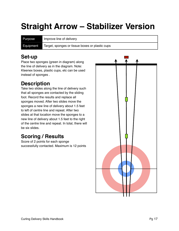# <span id="page-20-0"></span>**Straight Arrow – Stabilizer Version**

Purpose Improve line of delivery

Equipment Target, sponges or tissue boxes or plastic cups

### **Set-up**

Place two sponges (green in diagram) along the line of delivery as in the diagram. Note: Kleenex boxes, plastic cups, etc can be used instead of sponges .

### **Description**

Take two slides along the line of delivery such that all sponges are contacted by the sliding foot. Record the results and replace all sponges moved. After two slides move the sponges a new line of delivery about 1.5 feet to left of centre line and repeat. After two slides at that location move the sponges to a new line of delivery about 1.5 feet to the right of the centre line and repeat. In total, there will be six slides.

### **Scoring / Results**

Score of 2 points for each sponge successfully contacted. Maximum is 12 points

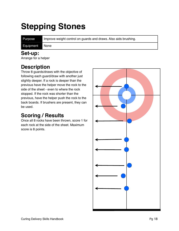# <span id="page-21-0"></span>**Stepping Stones**

Purpose Improve weight control on guards and draws. Also aids brushing.

#### Equipment None

#### **Set-up:**

Arrange for a helper

### **Description**

Throw 8 guards/draws with the objective of following each guard/draw with another just slightly deeper. If a rock is deeper than the previous have the helper move the rock to the side of the sheet - even to where the rock stopped. If the rock was shorter than the previous, have the helper push the rock to the back boards. If brushers are present, they can be used.

### **Scoring / Results**

Once all 8 rocks have been thrown, score 1 for each rock at the side of the sheet. Maximum score is 8 points.

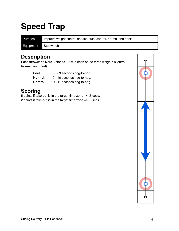### <span id="page-22-0"></span>**Speed Trap**

Purpose Improve weight control on take outs, control, normal and peels. Equipment Stopwatch

#### **Description**

Each thrower delivers 6 stones - 2 with each of the three weights (Control, Normal, and Peel).

| Peel:    | 8 - 9 seconds hog-to-hog.   |
|----------|-----------------------------|
| Normal:  | 9 - 10 seconds hog-to-hog.  |
| Control: | 10 - 11 seconds hog-to-hog. |

### **Scoring**

5 points if take-out is in the target time zone +/- .3 secs. 2 points if take-out is in the target time zone +/- .5 secs.

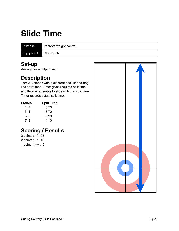### <span id="page-23-0"></span>**Slide Time**

Purpose Improve weight control.

Equipment Stopwatch

### **Set-up**

Arrange for a helper/timer.

### **Description**

Throw 8 stones with a different back line-to-hog line split times. Timer gives required split time and thrower attempts to slide with that split time. Timer records actual split time.

| Stones | <b>Split Time</b> |
|--------|-------------------|
| 1, 2   | 3.50              |
| 3, 4   | 3.70              |
| 5,6    | 3.90              |
| 7, 8   | 4.10              |

### **Scoring / Results**

3 points : +/- .05 2 points : +/- .10 1 point : +/- .15

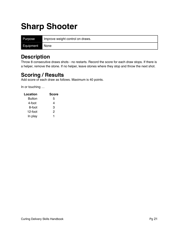### <span id="page-24-0"></span>**Sharp Shooter**

| Purpose   | Improve weight control on draws. |
|-----------|----------------------------------|
| Equipment | ∎None                            |

#### **Description**

Throw 8 consecutive draws shots - no restarts. Record the score for each draw stops. If there is a helper, remove the stone. If no helper, leave stones where they stop and throw the next shot.

#### **Scoring / Results**

Add score of each draw as follows. Maximum is 40 points.

In or touching …

| Location      | <b>Score</b> |
|---------------|--------------|
| <b>Button</b> | 5            |
| 4-foot        | 4            |
| 8-foot        | 3            |
| 12-foot       | 2            |
| In play       |              |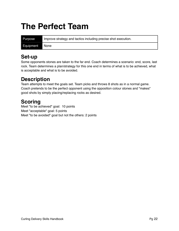### <span id="page-25-0"></span>**The Perfect Team**

| Purpose        | Improve strategy and tactics including precise shot execution. |
|----------------|----------------------------------------------------------------|
| Equipment None |                                                                |

#### **Set-up**

Some opponents stones are taken to the far end. Coach determines a scenario: end, score, last rock. Team determines a plan/strategy for this one end in terms of what is to be achieved, what is acceptable and what is to be avoided.

### **Description**

Team attempts to meet the goals set. Team picks and throws 8 shots as in a normal game. Coach pretends to be the perfect opponent using the opposition colour stones and "makes" good shots by simply placing/replacing rocks as desired.

### **Scoring**

Meet "to be achieved" goal: 10 points Meet "acceptable" goal: 5 points Meet "to be avoided" goal but not the others: 2 points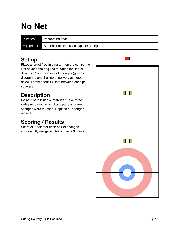### <span id="page-26-0"></span>**No Net**

Purpose Improve balance Equipment Kleenex boxes, plastic cups, or sponges.

### **Set-up**

Place a target (red in diagram) on the centre line just beyond the hog line to define the line of delivery. Place two pairs of sponges (green in diagram) along the line of delivery as noted below. Leave about 1.5 feet between each pair sponges.

### **Description**

Do not use a brush or stabilizer. Take three slides recording which if any pairs of green sponges were touched. Replace all sponges moved.

### **Scoring / Results**

Score of 1 point for each pair of sponges successfully navigated. Maximum is 6 points.

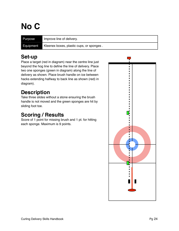# <span id="page-27-0"></span>**No C**

| Purpose   | Improve line of delivery.                |
|-----------|------------------------------------------|
| Equipment | Kleenex boxes, plastic cups, or sponges. |

### **Set-up**

Place a target (red in diagram) near the centre line just beyond the hog line to define the line of delivery. Place two one sponges (green in diagram) along the line of delivery as shown. Place brush handle on ice between hacks extending halfway to back line as shown (red) in diagram).

### **Description**

Take three slides without a stone ensuring the brush handle is not moved and the green sponges are hit by sliding foot toe.

### **Scoring / Results**

Score of 1 point for missing brush and 1 pt. for hitting each sponge. Maximum is 9 points.

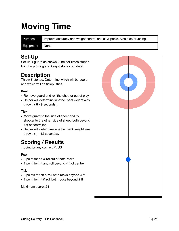### <span id="page-28-0"></span>**Moving Time**

Purpose Improve accuracy and weight control on tick & peels. Also aids brushing.

Equipment None

#### **Set-Up**

Set-up 1 guard as shown. A helper times stones from hog-to-hog and keeps stones on sheet.

### **Description**

Throw 8 stones. Determine which will be peels and which will be tick/pushes.

#### **Peel**

- Remove guard and roll the shooter out of play.
- Helper will determine whether peel weight was thrown ( 8 - 9 seconds).

#### **Tick**

- Move guard to the side of sheet and roll shooter to the other side of sheet, both beyond 4 ft of centreline
- Helper will determine whether hack weight was thrown (11- 12 seconds).

### **Scoring / Results**

1 point for any contact PLUS

#### Peel:

- 2 point for hit & rollout of both rocks
- 1 point for hit and roll beyond 4 ft of centre

#### **Tick**

- 2 points for hit & roll both rocks beyond 4 ft
- 1 point for hit & roll both rocks beyond 2 ft

Maximum score: 24

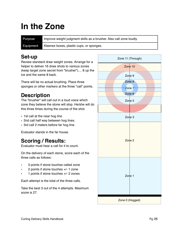### <span id="page-29-0"></span>**In the Zone**

Purpose Improve weight judgment skills as a brusher. Also call zone loudly. Equipment Kleenex boxes, plastic cups, or sponges.

#### **Set-up**

Review standard draw weight zones. Arrange for a helper to deliver 16 draw shots to various zones (keep target zone secret from "brusher").... 8 up the ice and the same 8 back.

There will be no actual brushing. Place three sponges or other markers at the three "call" points.

### **Description**

The "brusher" will call out in a loud voice which zone they believe the stone will stop. He/she will do this three times during the course of the shot.

- 1st call at the near hog line
- 2nd call half way between hog lines.
- 3rd call 2 meters before far hog line.

Evaluator stands in the far house.

### **Scoring / Results:**

Evaluator must hear a call for it to count.

On the delivery of each stone, score each of the three calls as follows:

- 3 points if stone touches called zone
- 2 points if stone touches +/- 1 zone
- 1 points if stone touches +/- 2 zones

Each attempt is the total of the three calls.

Take the best 3 out of the 4 attempts. Maximum score is 27.

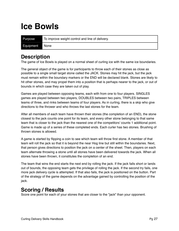### <span id="page-30-0"></span>**Ice Bowls**

| Purpose   | To improve weight control and line of delivery. |
|-----------|-------------------------------------------------|
| Equipment | l Nonel                                         |

#### **Description**

The game of Ice Bowls is played on a normal sheet of curling ice with the same ice boundaries.

The general object of the game is for participants to throw each of their stones as close as possible to a single small target stone called the JACK. Stones may hit the jack, but the jack must remain within the boundary markers or the END will be declared blank. Stones are likely to hit other stones, and may propel them into a position that is perhaps nearer to the jack, or out of bounds in which case they are taken out of play.

Games are played between opposing teams, each with from one to four players. SINGLES games are played between two players, DOUBLES between two pairs, TRIPLES between teams of three, and rinks between teams of four players. As in curling, there is a skip who give directions to the thrower and who throws the last stones for the team.

After all members of each team have thrown their stones (the completion of an END), the stone closest to the jack counts one point for its team, and every other stone belonging to that same team that is closer to the jack than the nearest one of the competitors' counts 1 additional point. Game is made up of a series of these completed ends. Each curler has two stones. Brushing of thrown stones is allowed.

A game is started by flipping a coin to see which team will throw first stone. A member of that team will roll the jack so that it is beyond the near Hog line but still within the boundaries. Next, that person gives directions to position the jack on a center of the sheet. Then, players on each team alternate throwing a stone until all stones have been delivered towards the jack. When all stones have been thrown, it constitutes the completion of an end.

The team that wins the end starts the next end by rolling the jack. If the jack falls short or lands out of bounds, the opposing team gets the privilege of rolling the jack. If the second try fails, one more jack delivery cycle is attempted. If that also fails, the jack is positioned on the button. Part of the strategy of the game depends on the advantage gained by controlling the position of the jack.

#### **Scoring / Results**

Score one point for each of your stones that are closer to the "jack" than your opponent.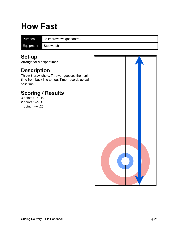### <span id="page-31-0"></span>**How Fast**

Purpose To improve weight control.

Equipment Stopwatch

### **Set-up**

Arrange for a helper/timer.

### **Description**

Throw 8 draw shots. Thrower guesses their split time from back line to hog. Timer records actual split time.

### **Scoring / Results**

3 points : +/- .10 2 points : +/- .15 1 point : +/- .20

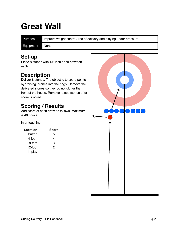### <span id="page-32-0"></span>**Great Wall**

Purpose Improve weight control, line of delivery and playing under pressure

Equipment None

#### **Set-up**

Place 8 stones with 1/2 inch or so between each.

### **Description**

Deliver 8 stones. The object is to score points by "raising" stones into the rings. Remove the delivered stones so they do not clutter the front of the house. Remove raised stones after score is noted.

### **Scoring / Results**

Add score of each draw as follows. Maximum is 40 points.

In or touching …

| Location | Score |
|----------|-------|
| Button   | 5     |
| 4-foot   | 4     |
| 8-foot   | 3     |
| 12-foot  | 2     |
| In play  |       |

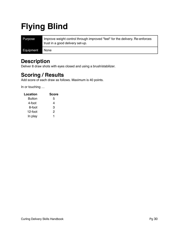# <span id="page-33-0"></span>**Flying Blind**

| Purpose   | Improve weight control through improved "feel" for the delivery. Re-enforces<br>trust in a good delivery set-up. |
|-----------|------------------------------------------------------------------------------------------------------------------|
| Equipment | <b>None</b>                                                                                                      |

#### **Description**

Deliver 8 draw shots with eyes closed and using a brush/stabilizer.

### **Scoring / Results**

Add score of each draw as follows. Maximum is 40 points.

In or touching …

| Location      | <b>Score</b> |
|---------------|--------------|
| <b>Button</b> | 5            |
| 4-foot        | 4            |
| 8-foot        | з            |
| 12-foot       | 2            |
| In play       |              |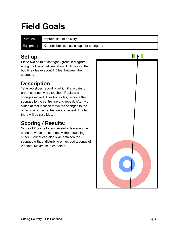### <span id="page-34-0"></span>**Field Goals**

Purpose Improve line of delivery.

Equipment Kleenex boxes, plastic cups, or sponges.

### **Set-up**

Place two pairs of sponges (green in diagram) along the line of delivery about 15 ft beyond the hog line - leave about 1.5 feet between the sponges.

### **Description**

Take two slides recording which if any pairs of green sponges were touched. Replace all sponges moved. After two slides, relocate the sponges to the centre line and repeat. After two slides at that location move the sponges to the other side of the centre line and repeat. In total, there will be six slides.

### **Scoring / Results:**

Score of 2 points for successfully delivering the stone between the sponges without touching either. If curler can also slide between the sponges without disturbing either, add a bonus of 2 points. Maximum is 24 points.

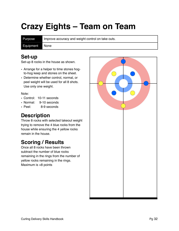### <span id="page-35-0"></span>**Crazy Eights – Team on Team**

Purpose Improve accuracy and weight control on take outs.

Equipment None

#### **Set-up**

Set-up 8 rocks in the house as shown.

- Arrange for a helper to time stones hogto-hog keep and stones on the sheet.
- Determine whether control, normal, or peel weight will be used for all 8 shots. Use only one weight.

Note:

- Control: 10-11 seconds
- Normal: 9-10 seconds<br>• Peel: 8-9 seconds
- 8-9 seconds

#### **Description**

Throw 8 rocks with selected takeout weight trying to remove the 4 blue rocks from the house while ensuring the 4 yellow rocks remain in the house.

### **Scoring / Results**

Once all 8 rocks have been thrown subtract the number of blue rocks remaining in the rings from the number of yellow rocks remaining in the rings. Maximum is +8 points

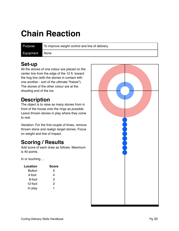### <span id="page-36-0"></span>**Chain Reaction**

Purpose To improve weight control and line of delivery.

Equipment None

### **Set-up**

All the stones of one colour are placed on the center line from the edge of the 12 ft. toward the hog line (with the stones in contact with one another - sort of the ultimate "freeze"). The stones of the other colour are at the shooting end of the ice.

### **Description**

The object is to raise as many stones from in front of the house onto the rings as possible. Leave thrown stones in play where they come to rest.

Variation: For the first couple of times, remove thrown stone and realign target stones. Focus on weight and line of impact.

### **Scoring / Results**

Add score of each draw as follows. Maximum is 40 points.

In or touching …

| Location      | <b>Score</b> |
|---------------|--------------|
| <b>Button</b> | 5            |
| 4-foot        | 4            |
| 8-foot        | 3            |
| 12-foot       | 2            |
| In play       | 1            |

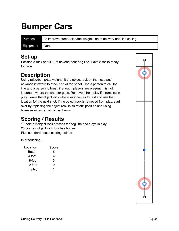### <span id="page-37-0"></span>**Bumper Cars**

Purpose To improve bump/raise/tap weight, line of delivery and line calling.

Equipment None

#### **Set-up**

Position a rock about 10 ft beyond near hog line. Have 8 rocks ready to throw.

### **Description**

Using raise/bump/tap weight hit the object rock on the nose and advance it toward to other end of the sheet. Use a person to call the line and a person to brush if enough players are present. It is not important where the shooter goes. Remove it from play if it remains in play. Leave the object rock wherever it comes to rest and use that location for the next shot. If the object rock is removed from play, start over by replacing the object rock in its "start" position and using however rocks remain to be thrown.

### **Scoring / Results**

10 points if object rock crosses far hog line and stays in play. 20 points if object rock touches house. Plus standard house scoring points:

In or touching …

| Location | <b>Score</b> |
|----------|--------------|
| Button   | 5            |
| 4-foot   | 4            |
| 8-foot   | 3            |
| 12-foot  | 2            |
| In play  |              |

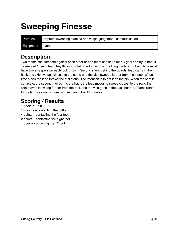### <span id="page-38-0"></span>**Sweeping Finesse**

Purpose Improve sweeping stamina and weight judgement, communication. Equipment None

#### **Description**

Two teams can compete against each other or one team can set a mark / goal and try to beat it. Teams get 15 minutes. They throw in rotation with the coach holding the broom. Each time must have two sweepers on each rock thrown. Second starts behind the boards, lead starts in the hack, the skip sweeps closest to the stone and the vice sweeps further from the stone. When time starts the lead throws the first stone. The intention is to get it on the pin. When the shot is complete, the second moves into the hack, the lead moves to sweep closest to the rock, the skip moves to sweep further from the rock and the vice goes to the back boards. Teams rotate through this as many times as they can in the 15 minutes.

### **Scoring / Results**

12 points – pin

10 points – contacting the button

4 points – contacting the four foot

2 points – contacting the eight foot

1 point – contacting the 12 foot